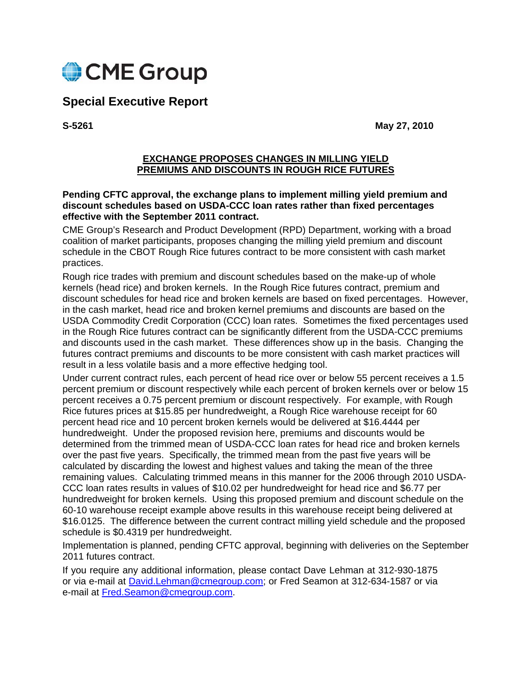

# **Special Executive Report**

**S-5261 May 27, 2010** 

#### **EXCHANGE PROPOSES CHANGES IN MILLING YIELD PREMIUMS AND DISCOUNTS IN ROUGH RICE FUTURES**

#### **Pending CFTC approval, the exchange plans to implement milling yield premium and discount schedules based on USDA-CCC loan rates rather than fixed percentages effective with the September 2011 contract.**

CME Group's Research and Product Development (RPD) Department, working with a broad coalition of market participants, proposes changing the milling yield premium and discount schedule in the CBOT Rough Rice futures contract to be more consistent with cash market practices.

Rough rice trades with premium and discount schedules based on the make-up of whole kernels (head rice) and broken kernels. In the Rough Rice futures contract, premium and discount schedules for head rice and broken kernels are based on fixed percentages. However, in the cash market, head rice and broken kernel premiums and discounts are based on the USDA Commodity Credit Corporation (CCC) loan rates. Sometimes the fixed percentages used in the Rough Rice futures contract can be significantly different from the USDA-CCC premiums and discounts used in the cash market. These differences show up in the basis. Changing the futures contract premiums and discounts to be more consistent with cash market practices will result in a less volatile basis and a more effective hedging tool.

Under current contract rules, each percent of head rice over or below 55 percent receives a 1.5 percent premium or discount respectively while each percent of broken kernels over or below 15 percent receives a 0.75 percent premium or discount respectively. For example, with Rough Rice futures prices at \$15.85 per hundredweight, a Rough Rice warehouse receipt for 60 percent head rice and 10 percent broken kernels would be delivered at \$16.4444 per hundredweight. Under the proposed revision here, premiums and discounts would be determined from the trimmed mean of USDA-CCC loan rates for head rice and broken kernels over the past five years. Specifically, the trimmed mean from the past five years will be calculated by discarding the lowest and highest values and taking the mean of the three remaining values. Calculating trimmed means in this manner for the 2006 through 2010 USDA-CCC loan rates results in values of \$10.02 per hundredweight for head rice and \$6.77 per hundredweight for broken kernels. Using this proposed premium and discount schedule on the 60-10 warehouse receipt example above results in this warehouse receipt being delivered at \$16.0125. The difference between the current contract milling yield schedule and the proposed schedule is \$0.4319 per hundredweight.

Implementation is planned, pending CFTC approval, beginning with deliveries on the September 2011 futures contract.

If you require any additional information, please contact Dave Lehman at 312-930-1875 or via e-mail at David.Lehman@cmegroup.com; or Fred Seamon at 312-634-1587 or via e-mail at Fred.Seamon@cmegroup.com.